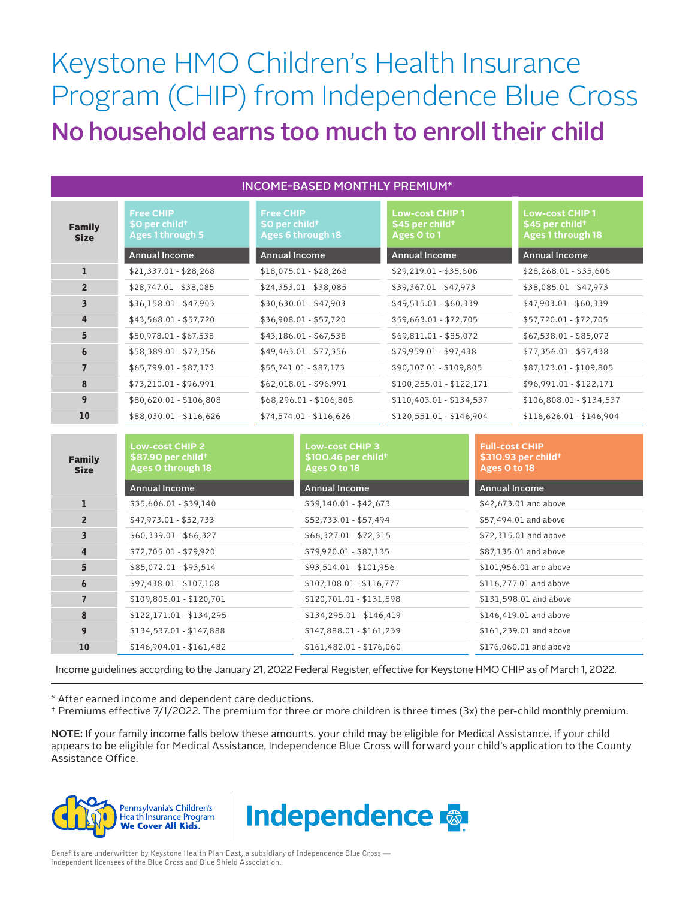## Keystone HMO Children's Health Insurance Program (CHIP) from Independence Blue Cross No household earns too much to enroll their child

| <b>INCOME-BASED MONTHLY PREMIUM*</b> |                                                                           |                                                                     |                                                                     |                                                                           |  |  |  |
|--------------------------------------|---------------------------------------------------------------------------|---------------------------------------------------------------------|---------------------------------------------------------------------|---------------------------------------------------------------------------|--|--|--|
| <b>Family</b><br><b>Size</b>         | <b>Free CHIP</b><br>\$0 per child <sup>+</sup><br><b>Ages 1 through 5</b> | <b>Free CHIP</b><br>\$0 per child <sup>+</sup><br>Ages 6 through 18 | <b>Low-cost CHIP1</b><br>\$45 per child <sup>+</sup><br>Ages O to 1 | <b>Low-cost CHIP1</b><br>\$45 per child <sup>+</sup><br>Ages 1 through 18 |  |  |  |
|                                      | <b>Annual Income</b>                                                      | Annual Income                                                       | <b>Annual Income</b>                                                | <b>Annual Income</b>                                                      |  |  |  |
| ı                                    | $$21,337.01 - $28,268$                                                    | $$18,075.01 - $28,268$                                              | \$29,219.01 - \$35,606                                              | $$28,268.01 - $35,606$                                                    |  |  |  |
| 2 <sup>2</sup>                       | \$28,747.01 - \$38,085                                                    | \$24,353.01 - \$38,085                                              | \$39,367.01 - \$47,973                                              | $$38,085.01 - $47,973$                                                    |  |  |  |
| $\overline{\mathbf{3}}$              | $$36,158.01 - $47,903$                                                    | $$30,630.01 - $47,903$                                              | \$49,515.01 - \$60,339                                              | \$47,903.01 - \$60,339                                                    |  |  |  |
| 4                                    | $$43,568.01 - $57,720$                                                    | $$36,908.01 - $57,720$                                              | $$59,663.01 - $72,705$                                              | \$57,720.01 - \$72,705                                                    |  |  |  |
| 5                                    | \$50,978.01 - \$67,538                                                    | $$43,186.01 - $67,538$                                              | $$69,811.01 - $85,072$                                              | $$67,538.01 - $85,072$                                                    |  |  |  |
| $\boldsymbol{6}$                     | \$58,389.01 - \$77,356                                                    | $$49,463.01 - $77,356$                                              | \$79,959.01 - \$97,438                                              | $$77,356.01 - $97,438$                                                    |  |  |  |
| $\overline{7}$                       | $$65,799.01 - $87,173$                                                    | $$55,741.01 - $87,173$                                              | \$90,107.01 - \$109,805                                             | \$87,173.01 - \$109,805                                                   |  |  |  |
| 8                                    | \$73,210.01 - \$96,991                                                    | $$62,018.01 - $96,991$                                              | $$100,255.01 - $122,171$                                            | \$96,991.01 - \$122,171                                                   |  |  |  |
| 9                                    | \$80,620.01 - \$106,808                                                   | \$68,296.01 - \$106,808                                             | \$110,403.01 - \$134,537                                            | \$106,808.01 - \$134,537                                                  |  |  |  |
| 10                                   | \$88,030.01 - \$116,626                                                   | $$74,574.01 - $116,626$                                             | $$120,551.01 - $146,904$                                            | $$116,626.01 - $146,904$                                                  |  |  |  |

| <b>Family</b><br><b>Size</b> | <b>Low-cost CHIP 2</b><br>\$87.90 per child <sup>+</sup><br>Ages O through 18<br><b>Annual Income</b> | <b>Low-cost CHIP 3</b><br>$$100.46$ per child <sup>+</sup><br>Ages O to 18<br><b>Annual Income</b> | <b>Full-cost CHIP</b><br>\$310.93 per child <sup>+</sup><br>Ages O to 18<br><b>Annual Income</b> |
|------------------------------|-------------------------------------------------------------------------------------------------------|----------------------------------------------------------------------------------------------------|--------------------------------------------------------------------------------------------------|
| ı                            | $$35,606.01 - $39,140$                                                                                | $$39,140.01 - $42,673$                                                                             | \$42,673.01 and above                                                                            |
| $\overline{2}$               | $$47,973.01 - $52,733$                                                                                | \$52,733.01 - \$57,494                                                                             | \$57,494.01 and above                                                                            |
| 3                            | $$60,339.01 - $66,327$                                                                                | $$66,327.01 - $72,315$                                                                             | \$72,315.01 and above                                                                            |
| 4                            | $$72,705.01 - $79,920$                                                                                | $$79,920.01 - $87,135$                                                                             | \$87,135.01 and above                                                                            |
| 5                            | \$85,072.01 - \$93,514                                                                                | \$93,514.01 - \$101,956                                                                            | \$101,956.01 and above                                                                           |
| 6                            | \$97,438.01 - \$107,108                                                                               | $$107,108.01 - $116,777$                                                                           | \$116,777.01 and above                                                                           |
| $\overline{7}$               | $$109,805.01 - $120,701$                                                                              | $$120,701.01 - $131,598$                                                                           | \$131,598.01 and above                                                                           |
| 8                            | $$122,171.01 - $134,295$                                                                              | $$134,295.01 - $146,419$                                                                           | \$146,419.01 and above                                                                           |
| 9                            | \$134,537.01 - \$147,888                                                                              | \$147,888.01 - \$161,239                                                                           | \$161,239.01 and above                                                                           |
| 10                           | $$146,904.01 - $161,482$                                                                              | $$161,482.01 - $176,060$                                                                           | \$176,060.01 and above                                                                           |

Income guidelines according to the January 21, 2022 Federal Register, effective for Keystone HMO CHIP as of March 1, 2022.

\* After earned income and dependent care deductions.

† Premiums effective 7/1/2022. The premium for three or more children is three times (3x) the per-child monthly premium.

NOTE: If your family income falls below these amounts, your child may be eligible for Medical Assistance. If your child appears to be eligible for Medical Assistance, Independence Blue Cross will forward your child's application to the County Assistance Office.





Benefits are underwritten by Keystone Health Plan East, a subsidiary of Independence Blue Cross independent licensees of the Blue Cross and Blue Shield Association.